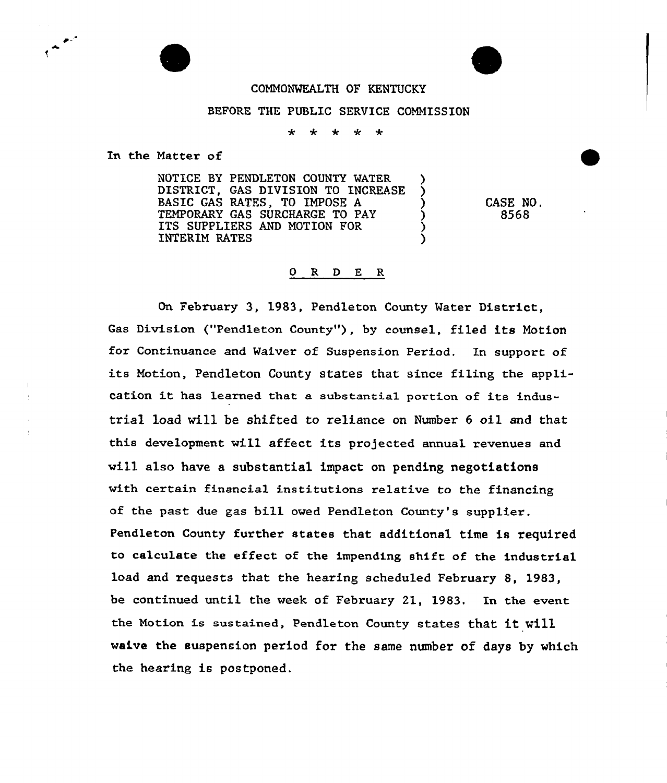

## BEFORE THE PUBLIC SERVICE COMMISSION

÷  $\ddot{\phantom{1}}$  $4.4$  $\rightarrow$ 

In the Natter of

NOTICE BY PENDLETON COUNTY WATER DISTRICT, GAS DIVISION TO INCREASE BASIC GAS RATES, TO IMPOSE <sup>A</sup> ) TEMPORARY GAS SURCHARGE TO PAY ITS SUPPLIERS AND MOTION FOR INTERIM RATES )

CASE NO. 8568

## 0 R <sup>D</sup> E R

On February 3, 1983, Pendleton County Water District, Gas Division ("Pendleton County"), by counsel, filed its Motion for Continuance and Waiver of Suspension Period. Xn support of its Motion, Pendleton County states that since filing the application it has learned that <sup>a</sup> substantia1 portion of its industrial load will be shifted to reliance on Number <sup>6</sup> oil and that this development will affect its projected annual revenues and will also have a substantial impact on pending negotiations with certain financial institutions relative to the financing of the past due gas bill owed Pendleton County's supplier. Pendleton County further states that additional time is required to calculate the effect of the impending shift of the industrial load and requests that the hearing scheduled February 8, 1983, be continued until the week of February 21, 1983. In the event the Notion is sustained, Pendleton County states that it will waive the suspension period for the same number of days by which the hearing is postponed.